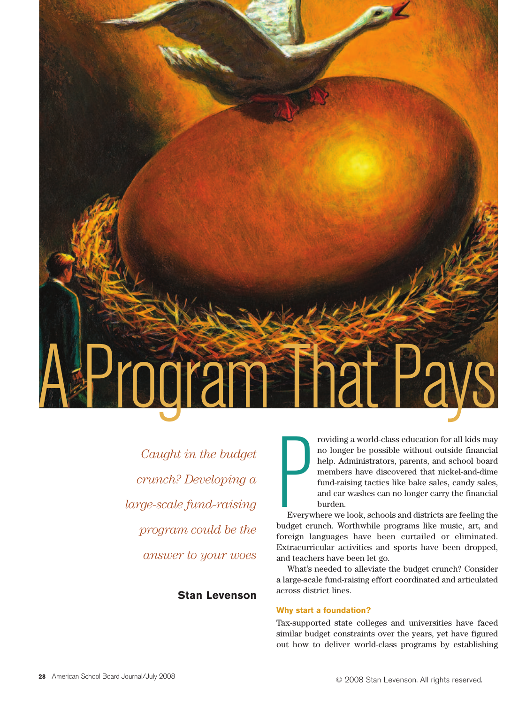

*Caught in the budget crunch? Developing a large-scale fund-raising program could be the answer to your woes*

# **Stan Levenson**

roviding a world-class education for all kids may no longer be possible without outside financial help. Administrators, parents, and school board members have discovered that nickel-and-dime fund-raising tactics like bake sales, candy sales, and car washes can no longer carry the financial burden.

**Party**<br>Everyw Everywhere we look, schools and districts are feeling the budget crunch. Worthwhile programs like music, art, and foreign languages have been curtailed or eliminated. Extracurricular activities and sports have been dropped, and teachers have been let go.

What's needed to alleviate the budget crunch? Consider a large-scale fund-raising effort coordinated and articulated across district lines.

## **Why start a foundation?**

Tax-supported state colleges and universities have faced similar budget constraints over the years, yet have figured out how to deliver world-class programs by establishing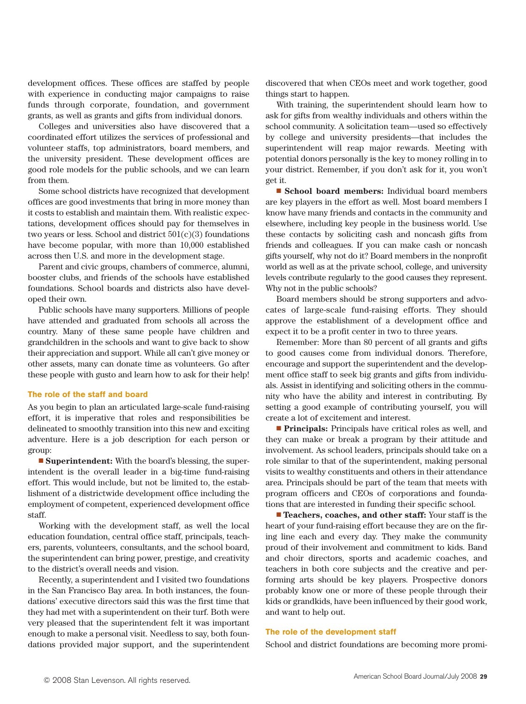development offices. These offices are staffed by people with experience in conducting major campaigns to raise funds through corporate, foundation, and government grants, as well as grants and gifts from individual donors.

Colleges and universities also have discovered that a coordinated effort utilizes the services of professional and volunteer staffs, top administrators, board members, and the university president. These development offices are good role models for the public schools, and we can learn from them.

Some school districts have recognized that development offices are good investments that bring in more money than it costs to establish and maintain them. With realistic expectations, development offices should pay for themselves in two years or less. School and district  $501(c)(3)$  foundations have become popular, with more than 10,000 established across then U.S. and more in the development stage.

Parent and civic groups, chambers of commerce, alumni, booster clubs, and friends of the schools have established foundations. School boards and districts also have developed their own.

Public schools have many supporters. Millions of people have attended and graduated from schools all across the country. Many of these same people have children and grandchildren in the schools and want to give back to show their appreciation and support. While all can't give money or other assets, many can donate time as volunteers. Go after these people with gusto and learn how to ask for their help!

#### **The role of the staff and board**

As you begin to plan an articulated large-scale fund-raising effort, it is imperative that roles and responsibilities be delineated to smoothly transition into this new and exciting adventure. Here is a job description for each person or group:

■ **Superintendent:** With the board's blessing, the superintendent is the overall leader in a big-time fund-raising effort. This would include, but not be limited to, the establishment of a districtwide development office including the employment of competent, experienced development office staff.

Working with the development staff, as well the local education foundation, central office staff, principals, teachers, parents, volunteers, consultants, and the school board, the superintendent can bring power, prestige, and creativity to the district's overall needs and vision.

Recently, a superintendent and I visited two foundations in the San Francisco Bay area. In both instances, the foundations' executive directors said this was the first time that they had met with a superintendent on their turf. Both were very pleased that the superintendent felt it was important enough to make a personal visit. Needless to say, both foundations provided major support, and the superintendent

discovered that when CEOs meet and work together, good things start to happen.

With training, the superintendent should learn how to ask for gifts from wealthy individuals and others within the school community. A solicitation team—used so effectively by college and university presidents—that includes the superintendent will reap major rewards. Meeting with potential donors personally is the key to money rolling in to your district. Remember, if you don't ask for it, you won't get it.

■ **School board members:** Individual board members are key players in the effort as well. Most board members I know have many friends and contacts in the community and elsewhere, including key people in the business world. Use these contacts by soliciting cash and noncash gifts from friends and colleagues. If you can make cash or noncash gifts yourself, why not do it? Board members in the nonprofit world as well as at the private school, college, and university levels contribute regularly to the good causes they represent. Why not in the public schools?

Board members should be strong supporters and advocates of large-scale fund-raising efforts. They should approve the establishment of a development office and expect it to be a profit center in two to three years.

Remember: More than 80 percent of all grants and gifts to good causes come from individual donors. Therefore, encourage and support the superintendent and the development office staff to seek big grants and gifts from individuals. Assist in identifying and soliciting others in the community who have the ability and interest in contributing. By setting a good example of contributing yourself, you will create a lot of excitement and interest.

■ **Principals:** Principals have critical roles as well, and they can make or break a program by their attitude and involvement. As school leaders, principals should take on a role similar to that of the superintendent, making personal visits to wealthy constituents and others in their attendance area. Principals should be part of the team that meets with program officers and CEOs of corporations and foundations that are interested in funding their specific school.

■ **Teachers, coaches, and other staff:** Your staff is the heart of your fund-raising effort because they are on the firing line each and every day. They make the community proud of their involvement and commitment to kids. Band and choir directors, sports and academic coaches, and teachers in both core subjects and the creative and performing arts should be key players. Prospective donors probably know one or more of these people through their kids or grandkids, have been influenced by their good work, and want to help out.

#### **The role of the development staff**

School and district foundations are becoming more promi-